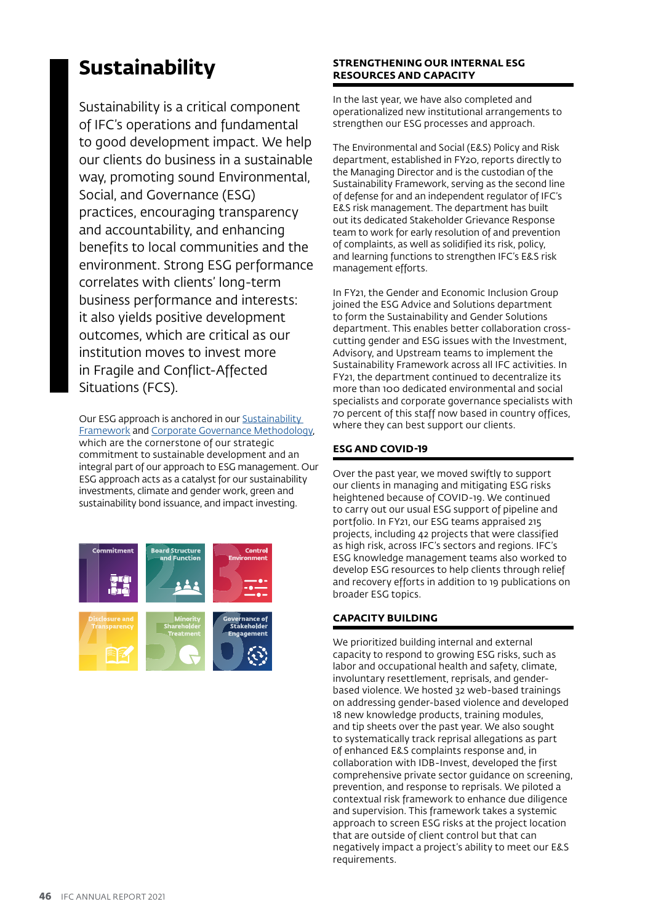# **Sustainability**

Sustainability is a critical component of IFC's operations and fundamental to good development impact. We help our clients do business in a sustainable way, promoting sound Environmental, Social, and Governance (ESG) practices, encouraging transparency and accountability, and enhancing benefits to local communities and the environment. Strong ESG performance correlates with clients' long-term business performance and interests: it also yields positive development outcomes, which are critical as our institution moves to invest more in Fragile and Conflict-Affected Situations (FCS).

Our ESG approach is anchored in our [Sustainability](https://www.ifc.org/wps/wcm/connect/topics_ext_content/ifc_external_corporate_site/sustainability-at-ifc/policies-standards/sustainability+framework)  [Framework](https://www.ifc.org/wps/wcm/connect/topics_ext_content/ifc_external_corporate_site/sustainability-at-ifc/policies-standards/sustainability+framework) and [Corporate Governance Methodology](https://www.ifc.org/wps/wcm/connect/topics_ext_content/ifc_external_corporate_site/ifc+cg/investment+services/corporate+governance+methodology), which are the cornerstone of our strategic commitment to sustainable development and an integral part of our approach to ESG management. Our ESG approach acts as a catalyst for our sustainability investments, climate and gender work, green and sustainability bond issuance, and impact investing.



### **STRENGTHENING OUR INTERNAL ESG RESOURCES AND CAPACITY**

In the last year, we have also completed and operationalized new institutional arrangements to strengthen our ESG processes and approach.

The Environmental and Social (E&S) Policy and Risk department, established in FY20, reports directly to the Managing Director and is the custodian of the Sustainability Framework, serving as the second line of defense for and an independent regulator of IFC's E&S risk management. The department has built out its dedicated Stakeholder Grievance Response team to work for early resolution of and prevention of complaints, as well as solidified its risk, policy, and learning functions to strengthen IFC's E&S risk management efforts.

In FY21, the Gender and Economic Inclusion Group joined the ESG Advice and Solutions department to form the Sustainability and Gender Solutions department. This enables better collaboration crosscutting gender and ESG issues with the Investment, Advisory, and Upstream teams to implement the Sustainability Framework across all IFC activities. In FY21, the department continued to decentralize its more than 100 dedicated environmental and social specialists and corporate governance specialists with 70 percent of this staff now based in country offices, where they can best support our clients.

# **ESG AND COVID-19**

Over the past year, we moved swiftly to support our clients in managing and mitigating ESG risks heightened because of COVID-19. We continued to carry out our usual ESG support of pipeline and portfolio. In FY21, our ESG teams appraised 215 projects, including 42 projects that were classified as high risk, across IFC's sectors and regions. IFC's ESG knowledge management teams also worked to develop ESG resources to help clients through relief and recovery efforts in addition to 19 publications on broader ESG topics.

# **CAPACITY BUILDING**

We prioritized building internal and external capacity to respond to growing ESG risks, such as labor and occupational health and safety, climate, involuntary resettlement, reprisals, and genderbased violence. We hosted 32 web-based trainings on addressing gender-based violence and developed 18 new knowledge products, training modules, and tip sheets over the past year. We also sought to systematically track reprisal allegations as part of enhanced E&S complaints response and, in collaboration with IDB-Invest, developed the first comprehensive private sector guidance on screening, prevention, and response to reprisals. We piloted a contextual risk framework to enhance due diligence and supervision. This framework takes a systemic approach to screen ESG risks at the project location that are outside of client control but that can negatively impact a project's ability to meet our E&S requirements.